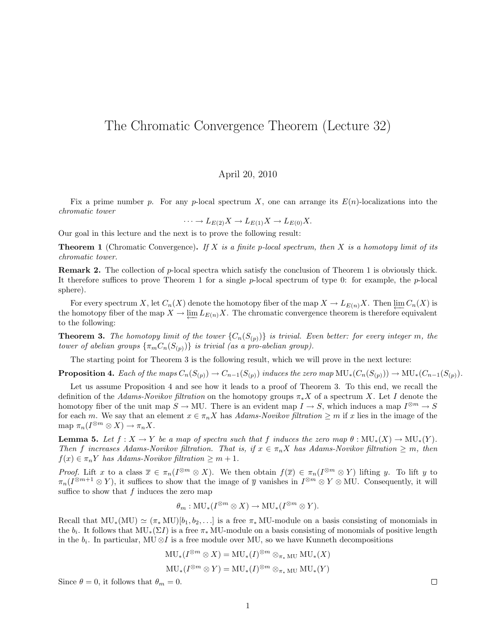## The Chromatic Convergence Theorem (Lecture 32)

## April 20, 2010

Fix a prime number p. For any p-local spectrum X, one can arrange its  $E(n)$ -localizations into the chromatic tower

$$
\cdots \to L_{E(2)}X \to L_{E(1)}X \to L_{E(0)}X.
$$

Our goal in this lecture and the next is to prove the following result:

**Theorem 1** (Chromatic Convergence). If X is a finite p-local spectrum, then X is a homotopy limit of its chromatic tower.

Remark 2. The collection of p-local spectra which satisfy the conclusion of Theorem 1 is obviously thick. It therefore suffices to prove Theorem 1 for a single  $p$ -local spectrum of type 0: for example, the  $p$ -local sphere).

For every spectrum X, let  $C_n(X)$  denote the homotopy fiber of the map  $X \to L_{E(n)}X$ . Then  $\varprojlim C_n(X)$  is the homotopy fiber of the map  $X \to \underleftarrow{\lim} L_{E(n)} X$ . The chromatic convergence theorem is therefore equivalent to the following:

**Theorem 3.** The homotopy limit of the tower  ${C_n(S_{(p)})}$  is trivial. Even better: for every integer m, the tower of abelian groups  $\{\pi_m C_n(S_{(p)})\}$  is trivial (as a pro-abelian group).

The starting point for Theorem 3 is the following result, which we will prove in the next lecture:

**Proposition 4.** Each of the maps  $C_n(S_{(p)}) \to C_{n-1}(S_{(p)})$  induces the zero map  $MU_*(C_n(S_{(p)})) \to MU_*(C_{n-1}(S_{(p)}))$ .

Let us assume Proposition 4 and see how it leads to a proof of Theorem 3. To this end, we recall the definition of the Adams-Novikov filtration on the homotopy groups  $\pi_* X$  of a spectrum X. Let I denote the homotopy fiber of the unit map  $S \to MU$ . There is an evident map  $I \to S$ , which induces a map  $I^{\otimes m} \to S$ for each m. We say that an element  $x \in \pi_n X$  has Adams-Novikov filtration  $\geq m$  if x lies in the image of the map  $\pi_n(I^{\otimes m} \otimes X) \to \pi_n X$ .

**Lemma 5.** Let  $f : X \to Y$  be a map of spectra such that f induces the zero map  $\theta : MU_*(X) \to MU_*(Y)$ . Then f increases Adams-Novikov filtration. That is, if  $x \in \pi_n X$  has Adams-Novikov filtration  $\geq m$ , then  $f(x) \in \pi_n Y$  has Adams-Novikov filtration  $\geq m+1$ .

*Proof.* Lift x to a class  $\overline{x} \in \pi_n(I^{\otimes m} \otimes X)$ . We then obtain  $f(\overline{x}) \in \pi_n(I^{\otimes m} \otimes Y)$  lifting y. To lift y to  $\pi_n(I^{\otimes m+1}\otimes Y)$ , it suffices to show that the image of  $\overline{y}$  vanishes in  $I^{\otimes m}\otimes Y\otimes \text{MU}$ . Consequently, it will suffice to show that  $f$  induces the zero map

$$
\theta_m: \mathrm{MU}_*(I^{\otimes m} \otimes X) \to \mathrm{MU}_*(I^{\otimes m} \otimes Y).
$$

Recall that  $MU_*(MU) \simeq (\pi_* MU)[b_1, b_2, \ldots]$  is a free  $\pi_* MU$ -module on a basis consisting of monomials in the  $b_i$ . It follows that  $MU_*(\Sigma I)$  is a free  $\pi_* MU$ -module on a basis consisting of monomials of positive length in the  $b_i$ . In particular, MU  $\otimes I$  is a free module over MU, so we have Kunneth decompositions

$$
MU_*(I^{\otimes m} \otimes X) = MU_*(I)^{\otimes m} \otimes_{\pi_* MU} MU_*(X)
$$
  

$$
MU_*(I^{\otimes m} \otimes Y) = MU_*(I)^{\otimes m} \otimes_{\pi_* MU} MU_*(Y)
$$

Since  $\theta = 0$ , it follows that  $\theta_m = 0$ .

 $\Box$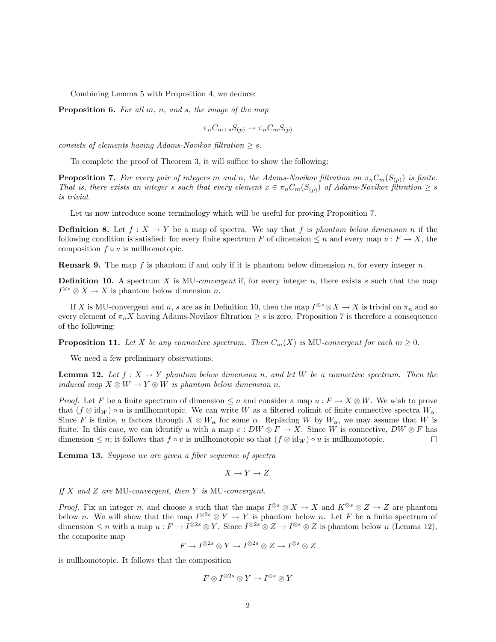Combining Lemma 5 with Proposition 4, we deduce:

**Proposition 6.** For all  $m$ ,  $n$ , and  $s$ , the image of the map

$$
\pi_n C_{m+s} S_{(p)} \to \pi_n C_m S_{(p)}
$$

consists of elements having Adams-Novikov filtration  $\geq s$ .

To complete the proof of Theorem 3, it will suffice to show the following:

**Proposition 7.** For every pair of integers m and n, the Adams-Novikov filtration on  $\pi_n C_m(S_{(p)})$  is finite. That is, there exists an integer s such that every element  $x \in \pi_n C_m(S_{(p)})$  of Adams-Novikov filtration  $\geq s$ is trivial.

Let us now introduce some terminology which will be useful for proving Proposition 7.

**Definition 8.** Let  $f : X \to Y$  be a map of spectra. We say that f is phantom below dimension n if the following condition is satisfied: for every finite spectrum F of dimension  $\leq n$  and every map  $u : F \to X$ , the composition  $f \circ u$  is nullhomotopic.

**Remark 9.** The map f is phantom if and only if it is phantom below dimension n, for every integer n.

**Definition 10.** A spectrum X is MU-convergent if, for every integer n, there exists s such that the map  $I^{\otimes s} \otimes X \to X$  is phantom below dimension n.

If X is MU-convergent and n, s are as in Definition 10, then the map  $I^{\otimes s} \otimes X \to X$  is trivial on  $\pi_n$  and so every element of  $\pi_n X$  having Adams-Novikov filtration  $\geq s$  is zero. Proposition 7 is therefore a consequence of the following:

**Proposition 11.** Let X be any connective spectrum. Then  $C_m(X)$  is MU-convergent for each  $m \geq 0$ .

We need a few preliminary observations.

**Lemma 12.** Let  $f: X \to Y$  phantom below dimension n, and let W be a connective spectrum. Then the induced map  $X \otimes W \to Y \otimes W$  is phantom below dimension n.

*Proof.* Let F be a finite spectrum of dimension  $\leq n$  and consider a map  $u : F \to X \otimes W$ . We wish to prove that  $(f \otimes id_W) \circ u$  is nullhomotopic. We can write W as a filtered colimit of finite connective spectra  $W_\alpha$ . Since F is finite, u factors through  $X \otimes W_{\alpha}$  for some  $\alpha$ . Replacing W by  $W_{\alpha}$ , we may assume that W is finite. In this case, we can identify u with a map  $v : DW \otimes F \to X$ . Since W is connective,  $DW \otimes F$  has dimension  $\leq n$ ; it follows that  $f \circ v$  is nullhomotopic so that  $(f \otimes id_W) \circ u$  is nullhomotopic.  $\Box$ 

Lemma 13. Suppose we are given a fiber sequence of spectra

$$
X \to Y \to Z.
$$

If  $X$  and  $Z$  are MU-convergent, then  $Y$  is MU-convergent.

*Proof.* Fix an integer n, and choose s such that the maps  $I^{\otimes s} \otimes X \to X$  and  $K^{\otimes s} \otimes Z \to Z$  are phantom below n. We will show that the map  $I^{\otimes 2s} \otimes Y \to Y$  is phantom below n. Let F be a finite spectrum of dimension  $\leq n$  with a map  $u: F \to I^{\otimes 2s} \otimes Y$ . Since  $I^{\otimes 2s} \otimes Z \to I^{\otimes s} \otimes Z$  is phantom below n (Lemma 12), the composite map

$$
F \to I^{\otimes 2s} \otimes Y \to I^{\otimes 2s} \otimes Z \to I^{\otimes s} \otimes Z
$$

is nullhomotopic. It follows that the composition

$$
F\otimes I^{\otimes 2s}\otimes Y\to I^{\otimes s}\otimes Y
$$